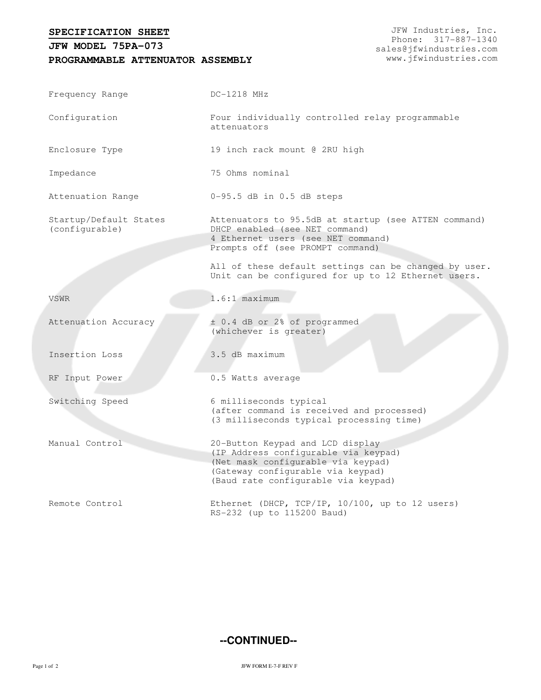## **SPECIFICATION SHEET**

## **PROGRAMMABLE ATTENUATOR ASSEMBLY JFW MODEL 75PA-073**

| Frequency Range                          | DC-1218 MHz                                                                                                                                                                                |
|------------------------------------------|--------------------------------------------------------------------------------------------------------------------------------------------------------------------------------------------|
| Configuration                            | Four individually controlled relay programmable<br>attenuators                                                                                                                             |
| Enclosure Type                           | 19 inch rack mount @ 2RU high                                                                                                                                                              |
| Impedance                                | 75 Ohms nominal                                                                                                                                                                            |
| Attenuation Range                        | $0-95.5$ dB in $0.5$ dB steps                                                                                                                                                              |
| Startup/Default States<br>(configurable) | Attenuators to 95.5dB at startup (see ATTEN command)<br>DHCP enabled (see NET command)<br>4 Ethernet users (see NET command)<br>Prompts off (see PROMPT command)                           |
|                                          | All of these default settings can be changed by user.<br>Unit can be configured for up to 12 Ethernet users.                                                                               |
| VSWR                                     | $1.6:1$ maximum                                                                                                                                                                            |
| Attenuation Accuracy                     | ± 0.4 dB or 2% of programmed<br>(whichever is greater)                                                                                                                                     |
| Insertion Loss                           | 3.5 dB maximum                                                                                                                                                                             |
| RF Input Power                           | 0.5 Watts average                                                                                                                                                                          |
| Switching Speed                          | 6 milliseconds typical<br>(after command is received and processed)<br>(3 milliseconds typical processing time)                                                                            |
| Manual Control                           | 20-Button Keypad and LCD display<br>(IP Address configurable via keypad)<br>(Net mask configurable via keypad)<br>(Gateway configurable via keypad)<br>(Baud rate configurable via keypad) |
| Remote Control                           | Ethernet (DHCP, TCP/IP, 10/100, up to 12 users)<br>RS-232 (up to 115200 Baud)                                                                                                              |

## **--CONTINUED--**